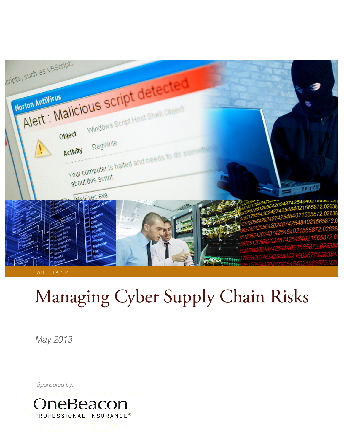

# Managing Cyber Supply Chain Risks

*May 2013*

*Sponsored by:*

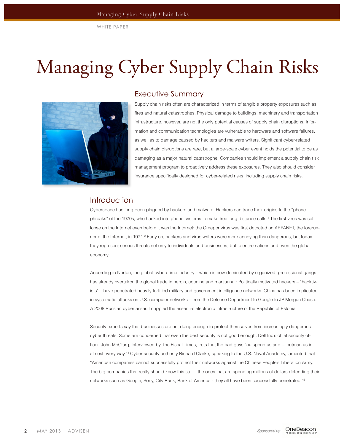## Managing Cyber Supply Chain Risks



## Executive Summary

Supply chain risks often are characterized in terms of tangible property exposures such as fires and natural catastrophes. Physical damage to buildings, machinery and transportation infrastructure, however, are not the only potential causes of supply chain disruptions. Information and communication technologies are vulnerable to hardware and software failures, as well as to damage caused by hackers and malware writers. Significant cyber-related supply chain disruptions are rare, but a large-scale cyber event holds the potential to be as damaging as a major natural catastrophe. Companies should implement a supply chain risk management program to proactively address these exposures. They also should consider insurance specifically designed for cyber-related risks, including supply chain risks.

## Introduction

Cyberspace has long been plagued by hackers and malware. Hackers can trace their origins to the "phone phreaks" of the 1970s, who hacked into phone systems to make free long distance calls.<sup>1</sup> The first virus was set loose on the Internet even before it was the Internet: the Creeper virus was first detected on ARPANET, the forerunner of the Internet, in 1971.<sup>2</sup> Early on, hackers and virus writers were more annoying than dangerous, but today they represent serious threats not only to individuals and businesses, but to entire nations and even the global economy.

According to Norton, the global cybercrime industry – which is now dominated by organized, professional gangs – has already overtaken the global trade in heroin, cocaine and marijuana.<sup>3</sup> Politically motivated hackers – "hacktivists" – have penetrated heavily fortified military and government intelligence networks. China has been implicated in systematic attacks on U.S. computer networks – from the Defense Department to Google to JP Morgan Chase. A 2008 Russian cyber assault crippled the essential electronic infrastructure of the Republic of Estonia.

Security experts say that businesses are not doing enough to protect themselves from increasingly dangerous cyber threats. Some are concerned that even the best security is not good enough. Dell Inc's chief security officer, John McClurg, interviewed by The Fiscal Times, frets that the bad guys "outspend us and ... outman us in almost every way."<sup>4</sup> Cyber security authority Richard Clarke, speaking to the U.S. Naval Academy, lamented that "American companies cannot successfully protect their networks against the Chinese People's Liberation Army. The big companies that really should know this stuff - the ones that are spending millions of dollars defending their networks such as Google, Sony, City Bank, Bank of America - they all have been successfully penetrated."<sup>5</sup>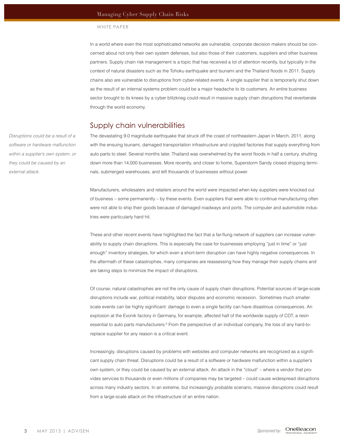In a world where even the most sophisticated networks are vulnerable, corporate decision makers should be concerned about not only their own system defenses, but also those of their customers, suppliers and other business partners. Supply chain risk management is a topic that has received a lot of attention recently, but typically in the context of natural disasters such as the Tohoku earthquake and tsunami and the Thailand floods in 2011. Supply chains also are vulnerable to disruptions from cyber-related events. A single supplier that is temporarily shut down as the result of an internal systems problem could be a major headache to its customers. An entire business sector brought to its knees by a cyber blitzkrieg could result in massive supply chain disruptions that reverberate through the world economy.

#### Supply chain vulnerabilities

The devastating 9.0 magnitude earthquake that struck off the coast of northeastern Japan in March, 2011, along with the ensuing tsunami, damaged transportation infrastructure and crippled factories that supply everything from auto parts to steel. Several months later, Thailand was overwhelmed by the worst floods in half a century, shutting down more than 14,000 businesses. More recently, and closer to home, Superstorm Sandy closed shipping terminals, submerged warehouses, and left thousands of businesses without power.

Manufacturers, wholesalers and retailers around the world were impacted when key suppliers were knocked out of business – some permanently – by these events. Even suppliers that were able to continue manufacturing often were not able to ship their goods because of damaged roadways and ports. The computer and automobile industries were particularly hard hit.

These and other recent events have highlighted the fact that a far-flung network of suppliers can increase vulnerability to supply chain disruptions. This is especially the case for businesses employing "just in time" or "just enough" inventory strategies, for which even a short-term disruption can have highly negative consequences. In the aftermath of these catastrophes, many companies are reassessing how they manage their supply chains and are taking steps to minimize the impact of disruptions.

Of course, natural catastrophes are not the only cause of supply chain disruptions. Potential sources of large-scale disruptions include war, political instability, labor disputes and economic recession. Sometimes much smaller scale events can be highly significant: damage to even a single facility can have disastrous consequences. An explosion at the Evonik factory in Germany, for example, affected half of the worldwide supply of CDT, a resin essential to auto parts manufacturers.<sup>6</sup> From the perspective of an individual company, the loss of any hard-toreplace supplier for any reason is a critical event.

Increasingly, disruptions caused by problems with websites and computer networks are recognized as a significant supply chain threat. Disruptions could be a result of a software or hardware malfunction within a supplier's own system, or they could be caused by an external attack. An attack in the "cloud" – where a vendor that provides services to thousands or even millions of companies may be targeted – could cause widespread disruptions across many industry sectors. In an extreme, but increasingly probable scenario, massive disruptions could result from a large-scale attack on the infrastructure of an entire nation.

*Disruptions could be a result of a software or hardware malfunction within a supplier's own system, or they could be caused by an external attack.*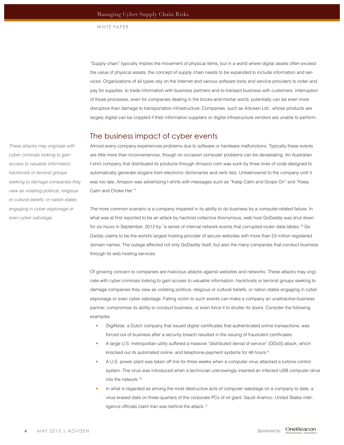"Supply chain" typically implies the movement of physical items, but in a world where digital assets often exceed the value of physical assets, the concept of supply chain needs to be expanded to include information and services. Organizations of all types rely on the Internet and various software tools and service providers to order and pay for supplies, to trade information with business partners and to transact business with customers. Interruption of those processes, even for companies dealing in the bricks-and-mortar world, potentially can be even more disruptive than damage to transportation infrastructure. Companies, such as Advisen Ltd., whose products are largely digital can be crippled if their information suppliers or digital infrastructure vendors are unable to perform.

## The business impact of cyber events

Almost every company experiences problems due to software or hardware malfunctions. Typically these events are little more than inconveniences, though on occasion computer problems can be devastating. An Australian t-shirt company that distributed its products through Amazon.com was sunk by three lines of code designed to automatically generate slogans from electronic dictionaries and verb lists. Unbeknownst to the company until it was too late, Amazon was advertising t-shirts with messages such as "Keep Calm and Grope On" and "Keep Calm and Choke Her."<sup>7</sup>

The more common scenario is a company impaired in its ability to do business by a computer-related failure. In what was at first reported to be an attack by hactivist collective Anonymous, web host GoDaddy was shut down for six hours in September, 2012 by "a series of internal network events that corrupted router data tables."<sup>8</sup> Go Daddy claims to be the world's largest hosting provider of secure websites with more than 53 million registered domain names. The outage affected not only GoDaddy itself, but also the many companies that conduct business through its web hosting services.

Of growing concern to companies are malicious attacks against websites and networks. These attacks may originate with cyber criminals looking to gain access to valuable information; hacktivists or terrorist groups seeking to damage companies they view as violating political, religious or cultural beliefs; or nation states engaging in cyber espionage or even cyber sabotage. Falling victim to such events can make a company an unattractive business partner, compromise its ability to conduct business, or even force it to shutter its doors. Consider the following examples:

- DigiNotar, a Dutch company that issued digital certificates that authenticated online transactions, was forced out of business after a security breach resulted in the issuing of fraudulent certificates.
- A large U.S. metropolitan utility suffered a massive "distributed denial of service" (DDoS) attack, which knocked out its automated online- and telephone-payment systems for 48 hours.<sup>9</sup>
- A U.S. power plant was taken off line for three weeks when a computer virus attacked a turbine control system. The virus was introduced when a technician unknowingly inserted an infected USB computer drive into the network.<sup>10</sup>
- In what is regarded as among the most destructive acts of computer sabotage on a company to date, a virus erased data on three-quarters of the corporate PCs of oil giant. Saudi Aramco. United States intelligence officials claim Iran was behind the attack.<sup>11</sup>

*These attacks may originate with cyber criminals looking to gain access to valuable information; hacktivists or terrorist groups seeking to damage companies they view as violating political, religious or cultural beliefs; or nation states engaging in cyber espionage or even cyber sabotage.*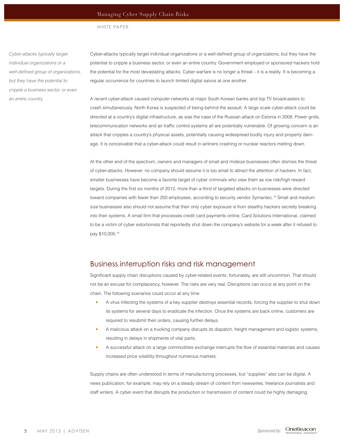*Cyber-attacks typically target individual organizations or a*  well-defined group of organizations, *but they have the potential to cripple a business sector, or even an entire country.* 

Cyber-attacks typically target individual organizations or a well-defined group of organizations, but they have the potential to cripple a business sector, or even an entire country. Government employed or sponsored hackers hold the potential for the most devastating attacks. Cyber warfare is no longer a threat – it is a reality. It is becoming a regular occurrence for countries to launch limited digital salvos at one another.

A recent cyber-attack caused computer networks at major South Korean banks and top TV broadcasters to crash simultaneously. North Korea is suspected of being behind the assault. A large scale cyber-attack could be directed at a country's digital infrastructure, as was the case of the Russian attack on Estonia in 2008. Power grids, telecommunication networks and air traffic control systems all are potentially vulnerable. Of growing concern is an attack that cripples a country's physical assets, potentially causing widespread bodily injury and property damage. It is conceivable that a cyber-attack could result in airliners crashing or nuclear reactors melting down.

At the other end of the spectrum, owners and managers of small and midsize businesses often dismiss the threat of cyber-attacks. However, no company should assume it is too small to attract the attention of hackers. In fact, smaller businesses have become a favorite target of cyber criminals who view them as low risk/high reward targets. During the first six months of 2012, more than a third of targeted attacks on businesses were directed toward companies with fewer than 250 employees, according to security vendor Symantec.<sup>12</sup> Small and medium size businesses also should not assume that their only cyber exposure is from stealthy hackers secretly breaking into their systems. A small firm that processes credit card payments online, Card Solutions International, claimed to be a victim of cyber extortionists that reportedly shut down the company's website for a week after it refused to pay \$10,000.<sup>13</sup>

### Business interruption risks and risk management

Significant supply chain disruptions caused by cyber-related events, fortunately, are still uncommon. That should not be an excuse for complacency, however. The risks are very real. Disruptions can occur at any point on the chain. The following scenarios could occur at any time.

- A virus infecting the systems of a key supplier destroys essential records, forcing the supplier to shut down its systems for several days to eradicate the infection. Once the systems are back online, customers are required to resubmit their orders, causing further delays.
- A malicious attack on a trucking company disrupts its dispatch, freight management and logistic systems, resulting in delays in shipments of vital parts.
- A successful attack on a large commodities exchange interrupts the flow of essential materials and causes increased price volatility throughout numerous markets.

Supply chains are often understood in terms of manufacturing processes, but "supplies" also can be digital. A news publication, for example, may rely on a steady stream of content from newswires, freelance journalists and staff writers. A cyber event that disrupts the production or transmission of content could be highly damaging.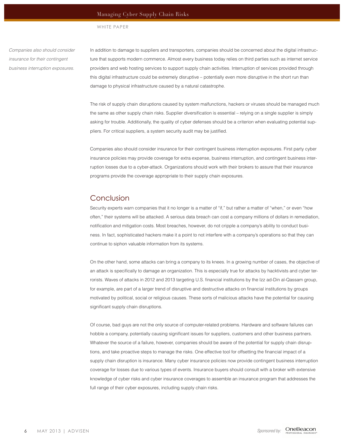#### Managing Cyber Supply Chain Risks

#### WHITE PAPER

*Companies also should consider insurance for their contingent business interruption exposures.*

In addition to damage to suppliers and transporters, companies should be concerned about the digital infrastructure that supports modern commerce. Almost every business today relies on third parties such as internet service providers and web hosting services to support supply chain activities. Interruption of services provided through this digital infrastructure could be extremely disruptive – potentially even more disruptive in the short run than damage to physical infrastructure caused by a natural catastrophe.

The risk of supply chain disruptions caused by system malfunctions, hackers or viruses should be managed much the same as other supply chain risks. Supplier diversification is essential – relying on a single supplier is simply asking for trouble. Additionally, the quality of cyber defenses should be a criterion when evaluating potential suppliers. For critical suppliers, a system security audit may be justified.

Companies also should consider insurance for their contingent business interruption exposures. First party cyber insurance policies may provide coverage for extra expense, business interruption, and contingent business interruption losses due to a cyber-attack. Organizations should work with their brokers to assure that their insurance programs provide the coverage appropriate to their supply chain exposures.

## Conclusion

Security experts warn companies that it no longer is a matter of "if," but rather a matter of "when," or even "how often," their systems will be attacked. A serious data breach can cost a company millions of dollars in remediation, notification and mitigation costs. Most breaches, however, do not cripple a company's ability to conduct business. In fact, sophisticated hackers make it a point to not interfere with a company's operations so that they can continue to siphon valuable information from its systems.

On the other hand, some attacks can bring a company to its knees. In a growing number of cases, the objective of an attack is specifically to damage an organization. This is especially true for attacks by hacktivists and cyber terrorists. Waves of attacks in 2012 and 2013 targeting U.S. financial institutions by the Izz ad-Din al-Qassam group, for example, are part of a larger trend of disruptive and destructive attacks on financial institutions by groups motivated by political, social or religious causes. These sorts of malicious attacks have the potential for causing significant supply chain disruptions.

Of course, bad guys are not the only source of computer-related problems. Hardware and software failures can hobble a company, potentially causing significant issues for suppliers, customers and other business partners. Whatever the source of a failure, however, companies should be aware of the potential for supply chain disruptions, and take proactive steps to manage the risks. One effective tool for offsetting the financial impact of a supply chain disruption is insurance. Many cyber insurance policies now provide contingent business interruption coverage for losses due to various types of events. Insurance buyers should consult with a broker with extensive knowledge of cyber risks and cyber insurance coverages to assemble an insurance program that addresses the full range of their cyber exposures, including supply chain risks.